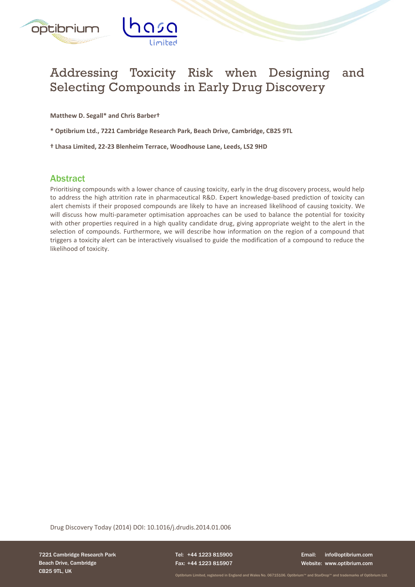

# Addressing Toxicity Risk when Designing and Selecting Compounds in Early Drug Discovery

**Matthew D. Segall\* and Chris Barber†** 

**\* Optibrium Ltd., 7221 Cambridge Research Park, Beach Drive, Cambridge, CB25 9TL**

**† Lhasa Limited, 22-23 Blenheim Terrace, Woodhouse Lane, Leeds, LS2 9HD**

#### Abstract

Prioritising compounds with a lower chance of causing toxicity, early in the drug discovery process, would help to address the high attrition rate in pharmaceutical R&D. Expert knowledge-based prediction of toxicity can alert chemists if their proposed compounds are likely to have an increased likelihood of causing toxicity. We will discuss how multi-parameter optimisation approaches can be used to balance the potential for toxicity with other properties required in a high quality candidate drug, giving appropriate weight to the alert in the selection of compounds. Furthermore, we will describe how information on the region of a compound that triggers a toxicity alert can be interactively visualised to guide the modification of a compound to reduce the likelihood of toxicity.

Drug Discovery Today (2014) DOI: 10.1016/j.drudis.2014.01.006

7221 Cambridge Research Park Beach Drive, Cambridge CB25 9TL, UK

Tel: +44 1223 815900 Fax: +44 1223 815907

Email: info@optibrium.com Website: www.optibrium.com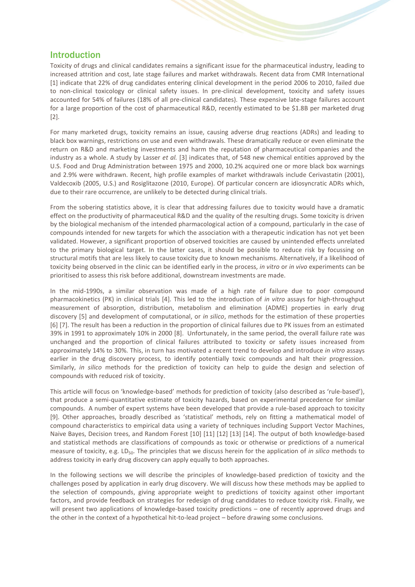#### Introduction

Toxicity of drugs and clinical candidates remains a significant issue for the pharmaceutical industry, leading to increased attrition and cost, late stage failures and market withdrawals. Recent data from CMR International [\[1\]](#page-7-0) indicate that 22% of drug candidates entering clinical development in the period 2006 to 2010, failed due to non-clinical toxicology or clinical safety issues. In pre-clinical development, toxicity and safety issues accounted for 54% of failures (18% of all pre-clinical candidates). These expensive late-stage failures account for a large proportion of the cost of pharmaceutical R&D, recently estimated to be \$1.8B per marketed drug [\[2\]](#page-7-1).

For many marketed drugs, toxicity remains an issue, causing adverse drug reactions (ADRs) and leading to black box warnings, restrictions on use and even withdrawals. These dramatically reduce or even eliminate the return on R&D and marketing investments and harm the reputation of pharmaceutical companies and the industry as a whole. A study by Lasser *et al.* [\[3\]](#page-7-2) indicates that, of 548 new chemical entities approved by the U.S. Food and Drug Administration between 1975 and 2000, 10.2% acquired one or more black box warnings and 2.9% were withdrawn. Recent, high profile examples of market withdrawals include Cerivastatin (2001), Valdecoxib (2005, U.S.) and Rosiglitazone (2010, Europe). Of particular concern are idiosyncratic ADRs which, due to their rare occurrence, are unlikely to be detected during clinical trials.

From the sobering statistics above, it is clear that addressing failures due to toxicity would have a dramatic effect on the productivity of pharmaceutical R&D and the quality of the resulting drugs. Some toxicity is driven by the biological mechanism of the intended pharmacological action of a compound, particularly in the case of compounds intended for new targets for which the association with a therapeutic indication has not yet been validated. However, a significant proportion of observed toxicities are caused by unintended effects unrelated to the primary biological target. In the latter cases, it should be possible to reduce risk by focussing on structural motifs that are less likely to cause toxicity due to known mechanisms. Alternatively, if a likelihood of toxicity being observed in the clinic can be identified early in the process, *in vitro* or *in vivo* experiments can be prioritised to assess this risk before additional, downstream investments are made.

In the mid-1990s, a similar observation was made of a high rate of failure due to poor compound pharmacokinetics (PK) in clinical trials [\[4\]](#page-7-3). This led to the introduction of *in vitro* assays for high-throughput measurement of absorption, distribution, metabolism and elimination (ADME) properties in early drug discovery [\[5\]](#page-7-4) and development of computational, or *in silico*, methods for the estimation of these properties [\[6\]](#page-8-0) [\[7\]](#page-8-1). The result has been a reduction in the proportion of clinical failures due to PK issues from an estimated 39% in 1991 to approximately 10% in 2000 [\[8\]](#page-8-2). Unfortunately, in the same period, the overall failure rate was unchanged and the proportion of clinical failures attributed to toxicity or safety issues increased from approximately 14% to 30%. This, in turn has motivated a recent trend to develop and introduce *in vitro* assays earlier in the drug discovery process, to identify potentially toxic compounds and halt their progression. Similarly, *in silico* methods for the prediction of toxicity can help to guide the design and selection of compounds with reduced risk of toxicity.

This article will focus on 'knowledge-based' methods for prediction of toxicity (also described as 'rule-based'), that produce a semi-quantitative estimate of toxicity hazards, based on experimental precedence for similar compounds. A number of expert systems have been developed that provide a rule-based approach to toxicity [9]. Other approaches, broadly described as 'statistical' methods, rely on fitting a mathematical model of compound characteristics to empirical data using a variety of techniques including Support Vector Machines, Naive Bayes, Decision trees, and Random Forest [10] [11] [12] [13] [\[14\]](#page-8-3). The output of both knowledge-based and statistical methods are classifications of compounds as toxic or otherwise or predictions of a numerical measure of toxicity, e.g. LD<sub>50</sub>. The principles that we discuss herein for the application of *in silico* methods to address toxicity in early drug discovery can apply equally to both approaches.

In the following sections we will describe the principles of knowledge-based prediction of toxicity and the challenges posed by application in early drug discovery. We will discuss how these methods may be applied to the selection of compounds, giving appropriate weight to predictions of toxicity against other important factors, and provide feedback on strategies for redesign of drug candidates to reduce toxicity risk. Finally, we will present two applications of knowledge-based toxicity predictions – one of recently approved drugs and the other in the context of a hypothetical hit-to-lead project – before drawing some conclusions.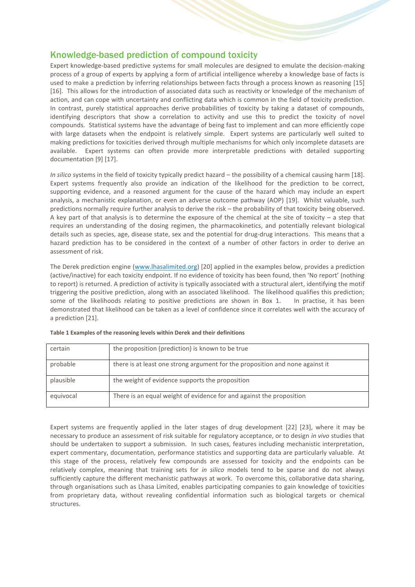# Knowledge-based prediction of compound toxicity

Expert knowledge-based predictive systems for small molecules are designed to emulate the decision-making process of a group of experts by applying a form of artificial intelligence whereby a knowledge base of facts is used to make a prediction by inferring relationships between facts through a process known as reasoning [15] [16]. This allows for the introduction of associated data such as reactivity or knowledge of the mechanism of action, and can cope with uncertainty and conflicting data which is common in the field of toxicity prediction. In contrast, purely statistical approaches derive probabilities of toxicity by taking a dataset of compounds, identifying descriptors that show a correlation to activity and use this to predict the toxicity of novel compounds. Statistical systems have the advantage of being fast to implement and can more efficiently cope with large datasets when the endpoint is relatively simple. Expert systems are particularly well suited to making predictions for toxicities derived through multiple mechanisms for which only incomplete datasets are available. Expert systems can often provide more interpretable predictions with detailed supporting documentation [9] [17].

*In silico* systems in the field of toxicity typically predict hazard – the possibility of a chemical causing harm [18]. Expert systems frequently also provide an indication of the likelihood for the prediction to be correct, supporting evidence, and a reasoned argument for the cause of the hazard which may include an expert analysis, a mechanistic explanation, or even an adverse outcome pathway (AOP) [19]. Whilst valuable, such predictions normally require further analysis to derive the risk – the probability of that toxicity being observed. A key part of that analysis is to determine the exposure of the chemical at the site of toxicity – a step that requires an understanding of the dosing regimen, the pharmacokinetics, and potentially relevant biological details such as species, age, disease state, sex and the potential for drug-drug interactions. This means that a hazard prediction has to be considered in the context of a number of other factors in order to derive an assessment of risk.

The Derek prediction engine [\(www.lhasalimited.org\)](file:///C:/Users/Matt/Documents/Projects/DDT%20Toxicity%20Risk%202013/www.lhasalimited.org) [20] applied in the examples below, provides a prediction (active/inactive) for each toxicity endpoint. If no evidence of toxicity has been found, then 'No report' (nothing to report) is returned. A prediction of activity is typically associated with a structural alert, identifying the motif triggering the positive prediction, along with an associated likelihood. The likelihood qualifies this prediction; some of the likelihoods relating to positive predictions are shown in Box 1. In practise, it has been demonstrated that likelihood can be taken as a level of confidence since it correlates well with the accuracy of a prediction [\[21\]](#page-8-4).

| certain   | the proposition (prediction) is known to be true                              |
|-----------|-------------------------------------------------------------------------------|
| probable  | there is at least one strong argument for the proposition and none against it |
| plausible | the weight of evidence supports the proposition                               |
| equivocal | There is an equal weight of evidence for and against the proposition          |

#### **Table 1 Examples of the reasoning levels within Derek and their definitions**

Expert systems are frequently applied in the later stages of drug development [22] [23], where it may be necessary to produce an assessment of risk suitable for regulatory acceptance, or to design *in vivo* studies that should be undertaken to support a submission. In such cases, features including mechanistic interpretation, expert commentary, documentation, performance statistics and supporting data are particularly valuable. At this stage of the process, relatively few compounds are assessed for toxicity and the endpoints can be relatively complex, meaning that training sets for *in silico* models tend to be sparse and do not always sufficiently capture the different mechanistic pathways at work. To overcome this, collaborative data sharing, through organisations such as Lhasa Limited, enables participating companies to gain knowledge of toxicities from proprietary data, without revealing confidential information such as biological targets or chemical structures.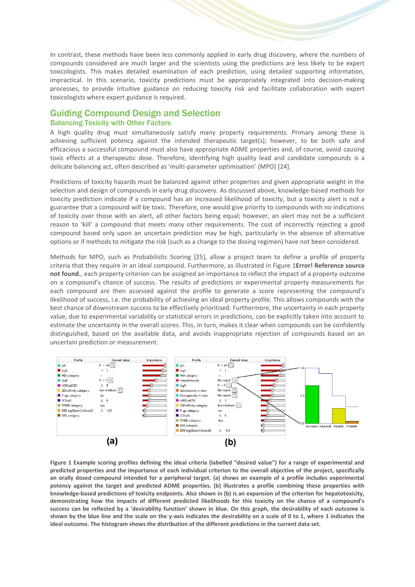In contrast, these methods have been less commonly applied in early drug discovery, where the numbers of compounds considered are much larger and the scientists using the predictions are less likely to be expert toxicologists. This makes detailed examination of each prediction, using detailed supporting information, impractical. In this scenario, toxicity predictions must be appropriately integrated into decision-making processes, to provide intuitive guidance on reducing toxicity risk and facilitate collaboration with expert toxicologists where expert guidance is required.

#### Guiding Compound Design and Selection Balancing Toxicity with Other Factors

A high quality drug must simultaneously satisfy many property requirements. Primary among these is achieving sufficient potency against the intended therapeutic target(s); however, to be both safe and efficacious a successful compound must also have appropriate ADME properties and, of course, avoid causing toxic effects at a therapeutic dose. Therefore, identifying high quality lead and candidate compounds is a delicate balancing act, often described as 'multi-parameter optimisation' (MPO) [\[24\]](#page-9-0).

Predictions of toxicity hazards must be balanced against other properties and given appropriate weight in the selection and design of compounds in early drug discovery. As discussed above, knowledge-based methods for toxicity prediction indicate if a compound has an increased likelihood of toxicity, but a toxicity alert is not a guarantee that a compound will be toxic. Therefore, one would give priority to compounds with no indications of toxicity over those with an alert, all other factors being equal; however, an alert may not be a sufficient reason to 'kill' a compound that meets many other requirements. The cost of incorrectly rejecting a good compound based only upon an uncertain prediction may be high, particularly in the absence of alternative options or if methods to mitigate the risk (such as a change to the dosing regimen) have not been considered.

Methods for MPO, such as Probabilistic Scoring [\[25\]](#page-9-1), allow a project team to define a profile of property criteria that they require in an ideal compound. Furthermore, as illustrated in Figure 1**Error! Reference source not found.**, each property criterion can be assigned an importance to reflect the impact of a property outcome on a compound's chance of success. The results of predictions or experimental property measurements for each compound are then assessed against the profile to generate a score representing the compound's likelihood of success, i.e. the probability of achieving an ideal property profile. This allows compounds with the best chance of downstream success to be effectively prioritised. Furthermore, the uncertainty in each property value, due to experimental variability or statistical errors in predictions, can be explicitly taken into account to estimate the uncertainty in the overall scores. This, in turn, makes it clear when compounds can be confidently distinguished, based on the available data, and avoids inappropriate rejection of compounds based on an uncertain prediction or measurement.



**Figure 1 Example scoring profiles defining the ideal criteria (labelled "desired value") for a range of experimental and predicted properties and the importance of each individual criterion to the overall objective of the project, specifically an orally dosed compound intended for a peripheral target. (a) shows an example of a profile includes experimental potency against the target and predicted ADME properties. (b) illustrates a profile combining these properties with knowledge-based predictions of toxicity endpoints. Also shown in (b) is an expansion of the criterion for hepatotoxicity, demonstrating how the impacts of different predicted likelihoods for this toxicity on the chance of a compound's success can be reflected by a 'desirability function' shown in blue. On this graph, the desirability of each outcome is shown by the blue line and the scale on the y-axis indicates the desirability on a scale of 0 to 1, where 1 indicates the ideal outcome. The histogram shows the distribution of the different predictions in the current data set.**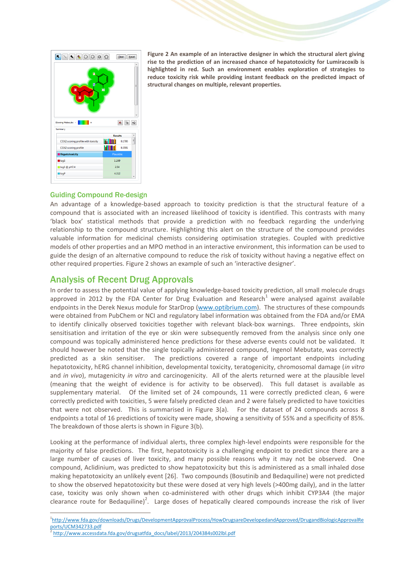

**Figure 2 An example of an interactive designer in which the structural alert giving rise to the prediction of an increased chance of hepatotoxicity for Lumiracoxib is highlighted in red. Such an environment enables exploration of strategies to reduce toxicity risk while providing instant feedback on the predicted impact of structural changes on multiple, relevant properties.**

#### Guiding Compound Re-design

An advantage of a knowledge-based approach to toxicity prediction is that the structural feature of a compound that is associated with an increased likelihood of toxicity is identified. This contrasts with many 'black box' statistical methods that provide a prediction with no feedback regarding the underlying relationship to the compound structure. Highlighting this alert on the structure of the compound provides valuable information for medicinal chemists considering optimisation strategies. Coupled with predictive models of other properties and an MPO method in an interactive environment, this information can be used to guide the design of an alternative compound to reduce the risk of toxicity without having a negative effect on other required properties. Figure 2 shows an example of such an 'interactive designer'.

# Analysis of Recent Drug Approvals

In order to assess the potential value of applying knowledge-based toxicity prediction, all small molecule drugs approved in 2012 by the FDA Center for Drug Evaluation and Research<sup>1</sup> were analysed against available endpoints in the Derek Nexus module for StarDrop [\(www.optibrium.com\)](http://www.optibrium.com/). The structures of these compounds were obtained from PubChem or NCI and regulatory label information was obtained from the FDA and/or EMA to identify clinically observed toxicities together with relevant black-box warnings. Three endpoints, skin sensitisation and irritation of the eye or skin were subsequently removed from the analysis since only one compound was topically administered hence predictions for these adverse events could not be validated. It should however be noted that the single topically administered compound, Ingenol Mebutate, was correctly predicted as a skin sensitiser. The predictions covered a range of important endpoints including hepatotoxicity, hERG channel inhibition, developmental toxicity, teratogenicity, chromosomal damage (*in vitro* and *in vivo*), mutagenicity *in vitro* and carcinogenicity. All of the alerts returned were at the plausible level (meaning that the weight of evidence is for activity to be observed). This full dataset is available as supplementary material. Of the limited set of 24 compounds, 11 were correctly predicted clean, 6 were correctly predicted with toxicities, 5 were falsely predicted clean and 2 were falsely predicted to have toxicities that were not observed. This is summarised in Figure 3(a). For the dataset of 24 compounds across 8 endpoints a total of 16 predictions of toxicity were made, showing a sensitivity of 55% and a specificity of 85%. The breakdown of those alerts is shown in Figure 3(b).

Looking at the performance of individual alerts, three complex high-level endpoints were responsible for the majority of false predictions. The first, hepatotoxicity is a challenging endpoint to predict since there are a large number of causes of liver toxicity, and many possible reasons why it may not be observed. One compound, Aclidinium, was predicted to show hepatotoxicity but this is administered as a small inhaled dose making hepatotoxicity an unlikely event [26]. Two compounds (Bosutinib and Bedaquiline) were not predicted to show the observed hepatotoxicity but these were dosed at very high levels (>400mg daily), and in the latter case, toxicity was only shown when co-administered with other drugs which inhibit CYP3A4 (the major clearance route for Bedaquiline)<sup>2</sup>. Large doses of hepatically cleared compounds increase the risk of liver

<sup>1</sup> 1 [http://www.fda.gov/downloads/Drugs/DevelopmentApprovalProcess/HowDrugsareDevelopedandApproved/DrugandBiologicApprovalRe](http://www.fda.gov/downloads/Drugs/DevelopmentApprovalProcess/HowDrugsareDevelopedandApproved/DrugandBiologicApprovalReports/UCM342733.pdf) [ports/UCM342733.pdf](http://www.fda.gov/downloads/Drugs/DevelopmentApprovalProcess/HowDrugsareDevelopedandApproved/DrugandBiologicApprovalReports/UCM342733.pdf)

<sup>2</sup> [http://www.accessdata.fda.gov/drugsatfda\\_docs/label/2013/204384s002lbl.pdf](http://www.accessdata.fda.gov/drugsatfda_docs/label/2013/204384s002lbl.pdf)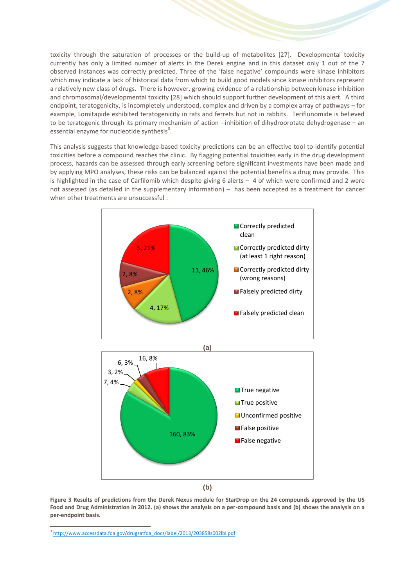toxicity through the saturation of processes or the build-up of metabolites [27]. Developmental toxicity currently has only a limited number of alerts in the Derek engine and in this dataset only 1 out of the 7 observed instances was correctly predicted. Three of the 'false negative' compounds were kinase inhibitors which may indicate a lack of historical data from which to build good models since kinase inhibitors represent a relatively new class of drugs. There is however, growing evidence of a relationship between kinase inhibition and chromosomal/developmental toxicity [\[28\]](#page-9-2) which should support further development of this alert. A third endpoint, teratogenicity, is incompletely understood, complex and driven by a complex array of pathways – for example, Lomitapide exhibited teratogenicity in rats and ferrets but not in rabbits. Teriflunomide is believed to be teratogenic through its primary mechanism of action - inhibition of dihydroorotate dehydrogenase – an essential enzyme for nucleotide synthesis $3$ .

This analysis suggests that knowledge-based toxicity predictions can be an effective tool to identify potential toxicities before a compound reaches the clinic. By flagging potential toxicities early in the drug development process, hazards can be assessed through early screening before significant investments have been made and by applying MPO analyses, these risks can be balanced against the potential benefits a drug may provide. This is highlighted in the case of Carfilomib which despite giving 6 alerts – 4 of which were confirmed and 2 were not assessed (as detailed in the supplementary information) – has been accepted as a treatment for cancer when other treatments are unsuccessful .



**Figure 3 Results of predictions from the Derek Nexus module for StarDrop on the 24 compounds approved by the US Food and Drug Administration in 2012. (a) shows the analysis on a per-compound basis and (b) shows the analysis on a per-endpoint basis.**

1

<sup>&</sup>lt;sup>3</sup> [http://www.accessdata.fda.gov/drugsatfda\\_docs/label/2013/203858s002lbl.pdf](http://www.accessdata.fda.gov/drugsatfda_docs/label/2013/203858s002lbl.pdf)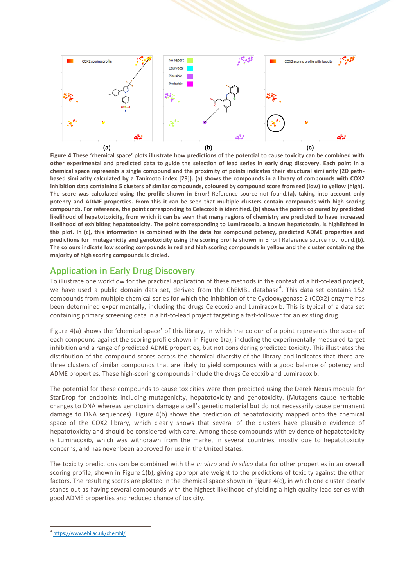

**Figure 4 These 'chemical space' plots illustrate how predictions of the potential to cause toxicity can be combined with other experimental and predicted data to guide the selection of lead series in early drug discovery. Each point in a chemical space represents a single compound and the proximity of points indicates their structural similarity (2D pathbased similarity calculated by a Tanimoto index [\[29\]](#page-9-3)). (a) shows the compounds in a library of compounds with COX2 inhibition data containing 5 clusters of similar compounds, coloured by compound score from red (low) to yellow (high). The score was calculated using the profile shown in** Error! Reference source not found.**(a), taking into account only potency and ADME properties. From this it can be seen that multiple clusters contain compounds with high-scoring compounds. For reference, the point corresponding to Celecoxib is identified. (b) shows the points coloured by predicted likelihood of hepatotoxicity, from which it can be seen that many regions of chemistry are predicted to have increased likelihood of exhibiting hepatotoxicity. The point corresponding to Lumiracoxib, a known hepatotoxin, is highlighted in this plot. In (c), this information is combined with the data for compound potency, predicted ADME properties and predictions for mutagenicity and genotoxicity using the scoring profile shown in** Error! Reference source not found.**(b). The colours indicate low scoring compounds in red and high scoring compounds in yellow and the cluster containing the majority of high scoring compounds is circled.**

#### Application in Early Drug Discovery

To illustrate one workflow for the practical application of these methods in the context of a hit-to-lead project, we have used a public domain data set, derived from the ChEMBL database<sup>4</sup>. This data set contains 152 compounds from multiple chemical series for which the inhibition of the Cyclooxygenase 2 (COX2) enzyme has been determined experimentally, including the drugs Celecoxib and Lumiracoxib. This is typical of a data set containing primary screening data in a hit-to-lead project targeting a fast-follower for an existing drug.

Figure 4(a) shows the 'chemical space' of this library, in which the colour of a point represents the score of each compound against the scoring profile shown in Figure 1(a), including the experimentally measured target inhibition and a range of predicted ADME properties, but not considering predicted toxicity. This illustrates the distribution of the compound scores across the chemical diversity of the library and indicates that there are three clusters of similar compounds that are likely to yield compounds with a good balance of potency and ADME properties. These high-scoring compounds include the drugs Celecoxib and Lumiracoxib.

The potential for these compounds to cause toxicities were then predicted using the Derek Nexus module for StarDrop for endpoints including mutagenicity, hepatotoxicity and genotoxicity. (Mutagens cause heritable changes to DNA whereas genotoxins damage a cell's genetic material but do not necessarily cause permanent damage to DNA sequences). Figure 4(b) shows the prediction of hepatotoxicity mapped onto the chemical space of the COX2 library, which clearly shows that several of the clusters have plausible evidence of hepatotoxicity and should be considered with care. Among those compounds with evidence of hepatotoxicity is Lumiracoxib, which was withdrawn from the market in several countries, mostly due to hepatotoxicity concerns, and has never been approved for use in the United States.

The toxicity predictions can be combined with the *in vitro* and *in silico* data for other properties in an overall scoring profile, shown in Figure 1(b), giving appropriate weight to the predictions of toxicity against the other factors. The resulting scores are plotted in the chemical space shown in Figure 4(c), in which one cluster clearly stands out as having several compounds with the highest likelihood of yielding a high quality lead series with good ADME properties and reduced chance of toxicity.

1

<sup>4</sup> <https://www.ebi.ac.uk/chembl/>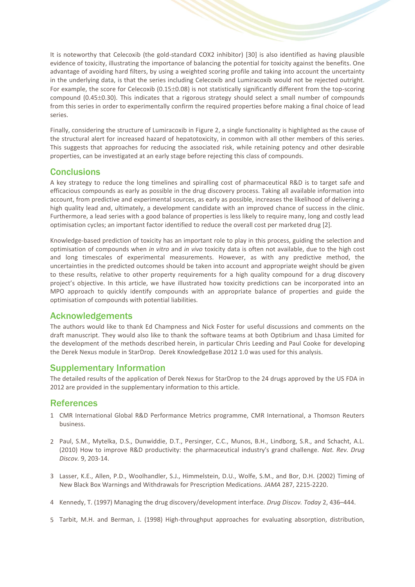It is noteworthy that Celecoxib (the gold-standard COX2 inhibitor) [30] is also identified as having plausible evidence of toxicity, illustrating the importance of balancing the potential for toxicity against the benefits. One advantage of avoiding hard filters, by using a weighted scoring profile and taking into account the uncertainty in the underlying data, is that the series including Celecoxib and Lumiracoxib would not be rejected outright. For example, the score for Celecoxib ( $0.15\pm0.08$ ) is not statistically significantly different from the top-scoring compound (0.45±0.30). This indicates that a rigorous strategy should select a small number of compounds from this series in order to experimentally confirm the required properties before making a final choice of lead series.

Finally, considering the structure of Lumiracoxib in Figure 2, a single functionality is highlighted as the cause of the structural alert for increased hazard of hepatotoxicity, in common with all other members of this series. This suggests that approaches for reducing the associated risk, while retaining potency and other desirable properties, can be investigated at an early stage before rejecting this class of compounds.

#### **Conclusions**

A key strategy to reduce the long timelines and spiralling cost of pharmaceutical R&D is to target safe and efficacious compounds as early as possible in the drug discovery process. Taking all available information into account, from predictive and experimental sources, as early as possible, increases the likelihood of delivering a high quality lead and, ultimately, a development candidate with an improved chance of success in the clinic. Furthermore, a lead series with a good balance of properties is less likely to require many, long and costly lead optimisation cycles; an important factor identified to reduce the overall cost per marketed drug [\[2\]](#page-7-1).

Knowledge-based prediction of toxicity has an important role to play in this process, guiding the selection and optimisation of compounds when *in vitro* and *in vivo* toxicity data is often not available, due to the high cost and long timescales of experimental measurements. However, as with any predictive method, the uncertainties in the predicted outcomes should be taken into account and appropriate weight should be given to these results, relative to other property requirements for a high quality compound for a drug discovery project's objective. In this article, we have illustrated how toxicity predictions can be incorporated into an MPO approach to quickly identify compounds with an appropriate balance of properties and guide the optimisation of compounds with potential liabilities.

#### Acknowledgements

The authors would like to thank Ed Champness and Nick Foster for useful discussions and comments on the draft manuscript. They would also like to thank the software teams at both Optibrium and Lhasa Limited for the development of the methods described herein, in particular Chris Leeding and Paul Cooke for developing the Derek Nexus module in StarDrop. Derek KnowledgeBase 2012 1.0 was used for this analysis.

# Supplementary Information

The detailed results of the application of Derek Nexus for StarDrop to the 24 drugs approved by the US FDA in 2012 are provided in the supplementary information to this article.

# References

- <span id="page-7-0"></span>1 CMR International Global R&D Performance Metrics programme, CMR International, a Thomson Reuters business.
- <span id="page-7-1"></span>2 Paul, S.M., Mytelka, D.S., Dunwiddie, D.T., Persinger, C.C., Munos, B.H., Lindborg, S.R., and Schacht, A.L. (2010) How to improve R&D productivity: the pharmaceutical industry's grand challenge. *Nat. Rev. Drug Discov.* 9, 203-14.
- <span id="page-7-2"></span>3 Lasser, K.E., Allen, P.D., Woolhandler, S.J., Himmelstein, D.U., Wolfe, S.M., and Bor, D.H. (2002) Timing of New Black Box Warnings and Withdrawals for Prescription Medications. *JAMA* 287, 2215-2220.
- <span id="page-7-3"></span>4 Kennedy, T. (1997) Managing the drug discovery/development interface. *Drug Discov. Today* 2, 436–444.
- <span id="page-7-4"></span>5 Tarbit, M.H. and Berman, J. (1998) High-throughput approaches for evaluating absorption, distribution,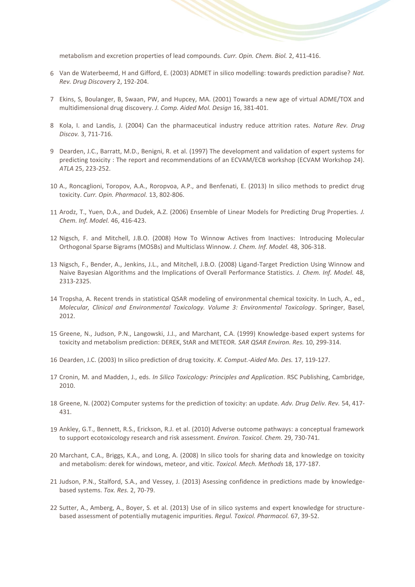metabolism and excretion properties of lead compounds. *Curr. Opin. Chem. Biol.* 2, 411-416.

- <span id="page-8-0"></span>6 Van de Waterbeemd, H and Gifford, E. (2003) ADMET in silico modelling: towards prediction paradise? *Nat. Rev. Drug Discovery* 2, 192-204.
- <span id="page-8-1"></span>7 Ekins, S, Boulanger, B, Swaan, PW, and Hupcey, MA. (2001) Towards a new age of virtual ADME/TOX and multidimensional drug discovery. *J. Comp. Aided Mol. Design* 16, 381-401.
- <span id="page-8-2"></span>8 Kola, I. and Landis, J. (2004) Can the pharmaceutical industry reduce attrition rates. *Nature Rev. Drug Discov.* 3, 711-716.
- 9 Dearden, J.C., Barratt, M.D., Benigni, R. et al. (1997) The development and validation of expert systems for predicting toxicity : The report and recommendations of an ECVAM/ECB workshop (ECVAM Workshop 24). *ATLA* 25, 223-252.
- 10 A., Roncaglioni, Toropov, A.A., Roropvoa, A.P., and Benfenati, E. (2013) In silico methods to predict drug toxicity. *Curr. Opin. Pharmacol.* 13, 802-806.
- 11 Arodz, T., Yuen, D.A., and Dudek, A.Z. (2006) Ensemble of Linear Models for Predicting Drug Properties. *J. Chem. Inf. Model.* 46, 416-423.
- 12 Nigsch, F. and Mitchell, J.B.O. (2008) How To Winnow Actives from Inactives:  Introducing Molecular Orthogonal Sparse Bigrams (MOSBs) and Multiclass Winnow. *J. Chem. Inf. Model.* 48, 306-318.
- 13 Nigsch, F., Bender, A., Jenkins, J.L., and Mitchell, J.B.O. (2008) Ligand-Target Prediction Using Winnow and Naive Bayesian Algorithms and the Implications of Overall Performance Statistics. *J. Chem. Inf. Model.* 48, 2313-2325.
- <span id="page-8-3"></span>14 Tropsha, A. Recent trends in statistical QSAR modeling of environmental chemical toxicity. In Luch, A., ed., *Molecular, Clinical and Environmental Toxicology. Volume 3: Environmental Toxicology*. Springer, Basel, 2012.
- 15 Greene, N., Judson, P.N., Langowski, J.J., and Marchant, C.A. (1999) Knowledge-based expert systems for toxicity and metabolism prediction: DEREK, StAR and METEOR. *SAR QSAR Environ. Res.* 10, 299-314.
- 16 Dearden, J.C. (2003) In silico prediction of drug toxicity. *K. Comput.-Aided Mo. Des.* 17, 119-127.
- 17 Cronin, M. and Madden, J., eds. *In Silico Toxicology: Principles and Application*. RSC Publishing, Cambridge, 2010.
- 18 Greene, N. (2002) Computer systems for the prediction of toxicity: an update. *Adv. Drug Deliv. Rev.* 54, 417- 431.
- 19 Ankley, G.T., Bennett, R.S., Erickson, R.J. et al. (2010) Adverse outcome pathways: a conceptual framework to support ecotoxicology research and risk assessment. *Environ. Toxicol. Chem.* 29, 730-741.
- 20 Marchant, C.A., Briggs, K.A., and Long, A. (2008) In silico tools for sharing data and knowledge on toxicity and metabolism: derek for windows, meteor, and vitic. *Toxicol. Mech. Methods* 18, 177-187.
- <span id="page-8-4"></span>21 Judson, P.N., Stalford, S.A., and Vessey, J. (2013) Asessing confidence in predictions made by knowledgebased systems. *Tox. Res.* 2, 70-79.
- 22 Sutter, A., Amberg, A., Boyer, S. et al. (2013) Use of in silico systems and expert knowledge for structurebased assessment of potentially mutagenic impurities. *Regul. Toxicol. Pharmacol.* 67, 39-52.